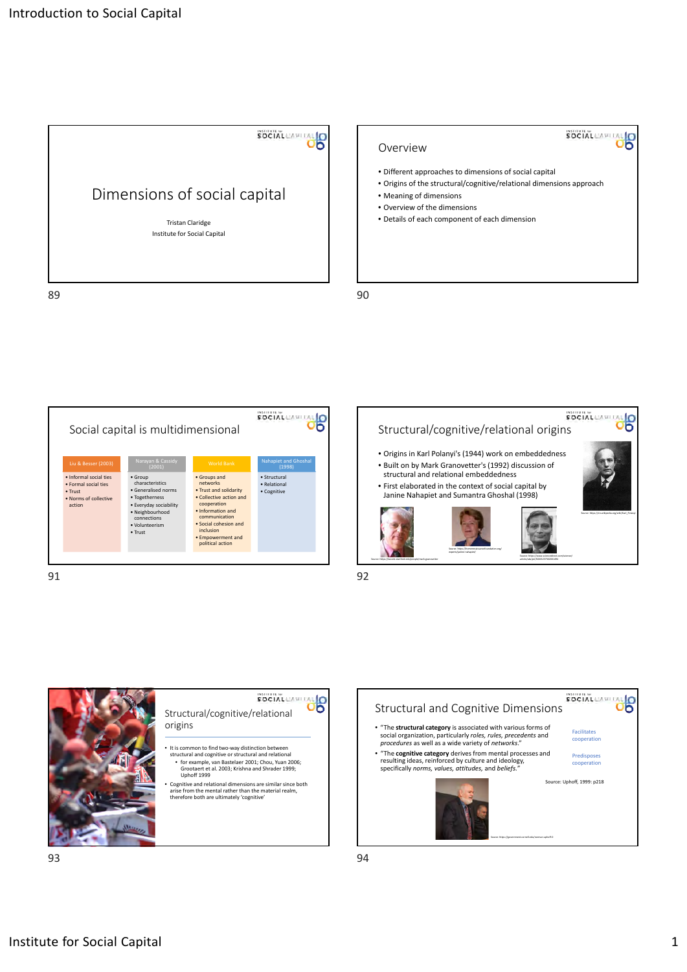

### SOCIAL CAPITAL Overview • Different approaches to dimensions of social capital • Origins of the structural/cognitive/relational dimensions approach • Meaning of dimensions • Overview of the dimensions • Details of each component of each dimension



91 92





93 94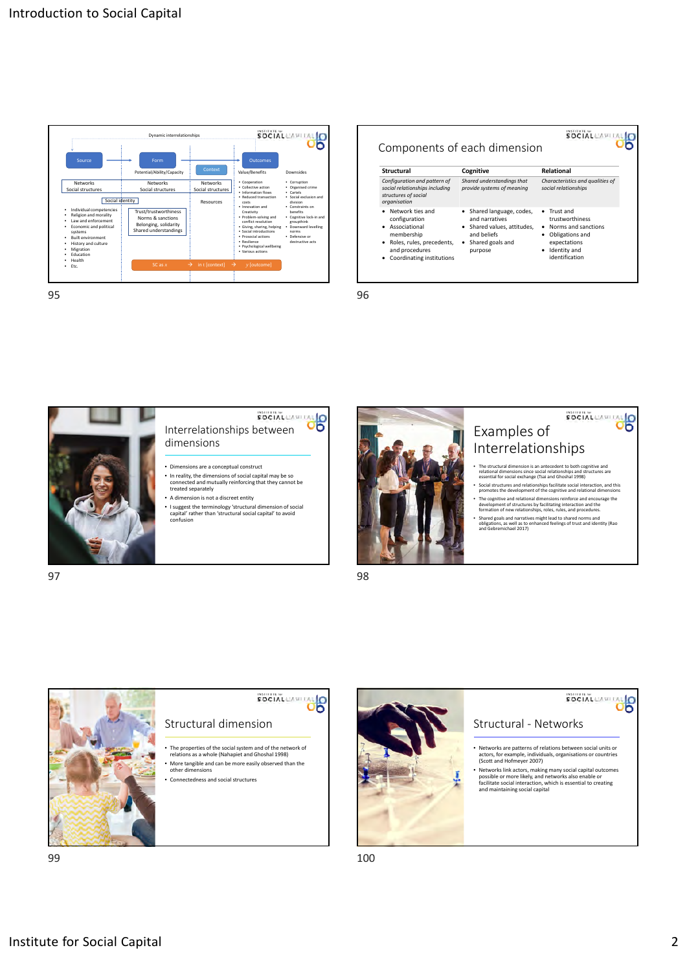

SOCIAL CAPITAL Components of each dimension **Structural Cognitive Relational Shared** *understandings* that *Characteristics and qualities of Configuration and pattern of social relationships including structures of social provide systems of meaning social relationships organisation* • Network ties and • Shared language, codes, • Trust and and narratives trustworthiness configuration Associational membership • Shared values, attitudes, • Norms and sanctions • Norms and sand<br>• Obligations and and beliefs Roles, rules, precedents, and procedures Shared goals and purpose expectations Identity and • Coordinating institutions identification



97 98





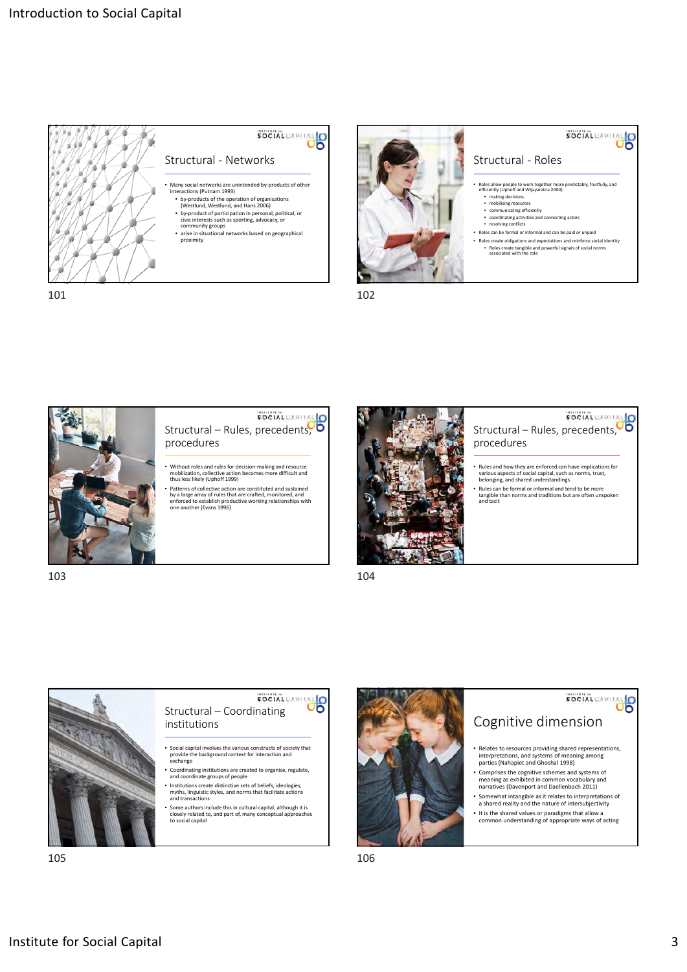



SOCIAL CAPITAL Structural ‐ Roles

- Roles allow people to work together more predictably, fruitfully, and<br>
efficiently (Uphoff and Wijayardra 2000)<br>
 making decisions<br>
 mobilising resources<br>
 comdinating efficiently<br>
 coordinating efficiently<br>
 coordi
	-
	-
	-
- Roles can be formal or informal and can be paid or unpaid
- Roles create obligations and expectations and reinforce social identity Roles create tangible and powerful signals of social norms associated with the role

101 102



Sociat CAPUTAL (O<br>Structural – Rules, precedents procedures

- Without roles and rules for decision‐making and resource mobilization, collective action becomes more difficult and thus less likely (Uphoff 1999)
- Patterns of collective action are constituted and sustained by a large array of rules that are crafted, monitored, and enforced to establish productive working relationships with one another (Evans 1996)



Spelate Antal – Rules, precedents, procedures

- Rules and how they are enforced can have implications for various aspects of social capital, such as norms, trust, belonging, and shared understandings
- Rules can be formal or informal and tend to be more tangible than norms and traditions but are often unspoken and tacit

103 104





### SOCIAL CAPITAL

- Cognitive dimension
- Relates to resources providing shared representations, interpretations, and systems of meaning among parties (Nahapiet and Ghoshal 1998)
- Comprises the cognitive schemes and systems of meaning as exhibited in common vocabulary and narratives (Davenport and Daellenbach 2011)
- Somewhat intangible as it relates to interpretations of a shared reality and the nature of intersubjectivity
- It is the shared values or paradigms that allow a common understanding of appropriate ways of acting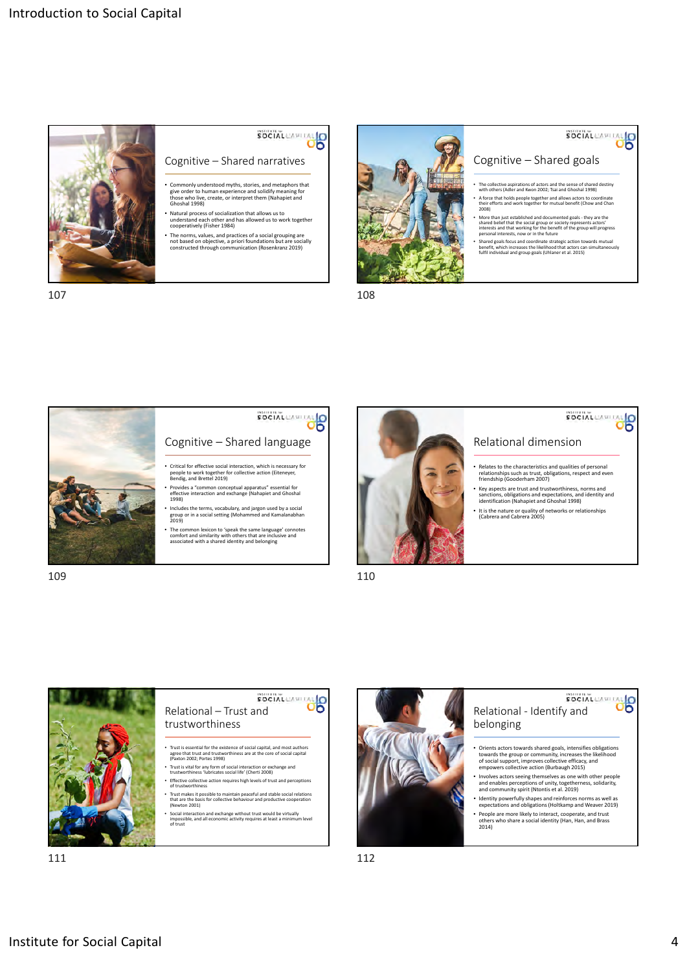

## SOCIAL CAPITAL

#### Cognitive – Shared narratives

- Commonly understood myths, stories, and metaphors that give order to human experience and solidify meaning for those who live, create, or interpret them (Nahapiet and Ghoshal 1998)
- Natural process of socialization that allows us to understand each other and has allowed us to work together cooperatively (Fisher 1984)
- The norms, values, and practices of a social grouping are not based on objective, a priori foundations but are socially constructed through communication (Rosenkranz 2019)



107 108

## SOCIAL CAPITAL

#### Cognitive – Shared goals

- 
- The collective aspirations of actors and the sense of shared destiny<br>The collection of the state and Kwon 2002; Tsai and Ghoshal 1998)<br>• A force that holds people together and allows actors to coordinate<br>their efforts an
- More than just established and documented goals they are the shared belief that the social group or society represents actors' interests and that working for the benefit of the group will progress personal interests, n
- 
- Shared goals focus and coordinate strategic action towards mutual benefit, which increases the likelihood that actors can simultaneously fulfil individual and group goals (Uhlaner et al. 2015)



SOCIAL CAPITAL O Cognitive – Shared language

- Critical for effective social interaction, which is necessary for people to work together for collective action (Eiteneyer, Bendig, and Brettel 2019)
- Provides a "common conceptual apparatus" essential for effective interaction and exchange (Nahapiet and Ghoshal 1998)
- Includes the terms, vocabulary, and jargon used by a social group or in a social setting (Mohammed and Kamalanabhan 2019)
- The common lexicon to 'speak the same language' connotes comfort and similarity with others that are inclusive and associated with a shared identity and belonging

109 110



### SOCIAL CAPITAL O

#### Relational dimension

- Relates to the characteristics and qualities of personal relationships such as trust, obligations, respect and even friendship (Gooderham 2007)
- Key aspects are trust and trustworthiness, norms and sanctions, obligations and expectations, and identity and identification (Nahapiet and Ghoshal 1998)
- It is the nature or quality of networks or relationships (Cabrera and Cabrera 2005)



111 112





### **Relational - Identify and CO** belonging

- Orients actors towards shared goals, intensifies obligations towards the group or community, increases the likelihood of social support, improves collective efficacy, and empowers collective action (Burbaugh 2015)
- Involves actors seeing themselves as one with other people and enables perceptions of unity, togetherness, solidarity, and community spirit (Ntontis et al. 2019)
- Identity powerfully shapes and reinforces norms as well as expectations and obligations (Holtkamp and Weaver 2019)
- People are more likely to interact, cooperate, and trust others who share a social identity (Han, Han, and Brass 2014)